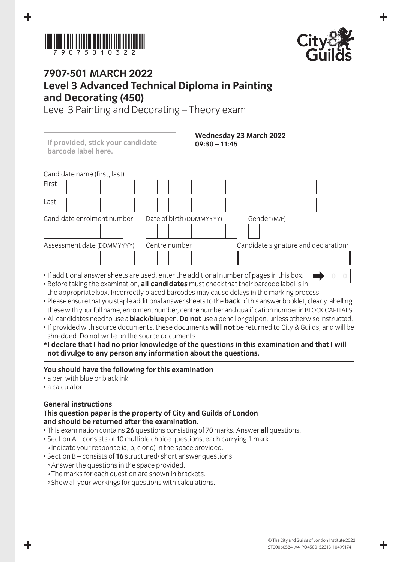



 **0 0**

# **7907-501 March 2022 Level 3 Advanced Technical Diploma in Painting and Decorating (450)**

Level 3 Painting and Decorating – Theory exam

**If provided, stick your candidate barcode label here.**

**Wednesday 23 March 2022 09:30 – 11:45**

| Candidate name (first, last) |                          |                                      |
|------------------------------|--------------------------|--------------------------------------|
| First                        |                          |                                      |
| Last                         |                          |                                      |
| Candidate enrolment number   | Date of birth (DDMMYYYY) | Gender (M/F)                         |
| Assessment date (DDMMYYYY)   | Centre number            | Candidate signature and declaration* |
|                              |                          |                                      |

- If additional answer sheets are used, enter the additional number of pages in this box.
- Before taking the examination, **all candidates** must check that their barcode label is in the appropriate box. Incorrectly placed barcodes may cause delays in the marking process.
- Please ensure that you staple additional answer sheets to the **back** of this answer booklet, clearly labelling these with your full name, enrolment number, centre number and qualification number in BLOCK CAPITALS.
- All candidates need to use a **black/blue** pen. **Do not** use a pencil or gel pen, unless otherwise instructed.
- If provided with source documents, these documents **will not** be returned to City & Guilds, and will be shredded. Do not write on the source documents.
- **\* I declare that I had no prior knowledge of the questions in this examination and that I will not divulge to any person any information about the questions.**

# **You should have the following for this examination**

- a pen with blue or black ink
- a calculator

# **General instructions**

### **This question paper is the property of City and Guilds of London and should be returned after the examination.**

- This examination contains **26** questions consisting of 70 marks. Answer **all** questions.
- Section A consists of 10 multiple choice questions, each carrying 1 mark.
- °Indicate your response (a, b, c or d) in the space provided.
- Section B consists of **16** structured/ short answer questions. °Answer the questions in the space provided.
- ° The marks for each question are shown in brackets.
- °Show all your workings for questions with calculations.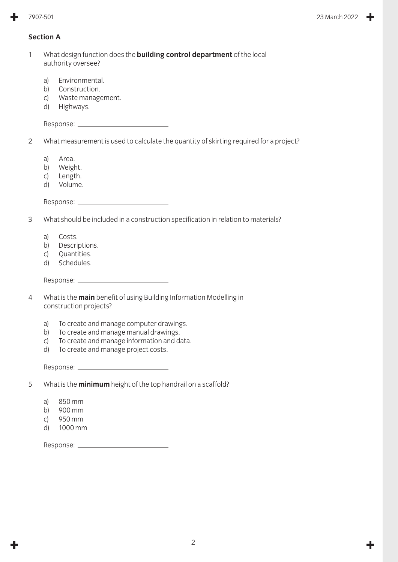#### **Section A**

|                | 7907-501                                                                                                                                                                                      | 23 March 2022<br>÷ |
|----------------|-----------------------------------------------------------------------------------------------------------------------------------------------------------------------------------------------|--------------------|
|                | <b>Section A</b>                                                                                                                                                                              |                    |
| 1              | What design function does the <b>building control department</b> of the local<br>authority oversee?                                                                                           |                    |
|                | Environmental.<br>a)<br>b)<br>Construction.<br>Waste management.<br>C)<br>Highways.<br>d)                                                                                                     |                    |
|                | Response: _____________________________                                                                                                                                                       |                    |
| $\overline{2}$ | What measurement is used to calculate the quantity of skirting required for a project?                                                                                                        |                    |
|                | Area.<br>a)<br>Weight.<br>$\mathsf{b}$<br>Length.<br>C)<br>Volume.<br>d)                                                                                                                      |                    |
|                |                                                                                                                                                                                               |                    |
| 3              | What should be included in a construction specification in relation to materials?                                                                                                             |                    |
|                | Costs.<br>a)<br>Descriptions.<br>b)<br>Quantities.<br>C)<br>Schedules.<br>d)                                                                                                                  |                    |
|                |                                                                                                                                                                                               |                    |
| 4              | What is the main benefit of using Building Information Modelling in<br>construction projects?                                                                                                 |                    |
|                | To create and manage computer drawings.<br>a)<br>To create and manage manual drawings.<br>b)<br>To create and manage information and data.<br>C)<br>To create and manage project costs.<br>d) |                    |
|                |                                                                                                                                                                                               |                    |
| 5              | What is the <b>minimum</b> height of the top handrail on a scaffold?                                                                                                                          |                    |
|                | 850 mm<br>a)<br>$000 \, \text{mm}$<br>hÌ                                                                                                                                                      |                    |

- b) 900 mm
- c) 950 mm
- d) 1000 mm

Response:

2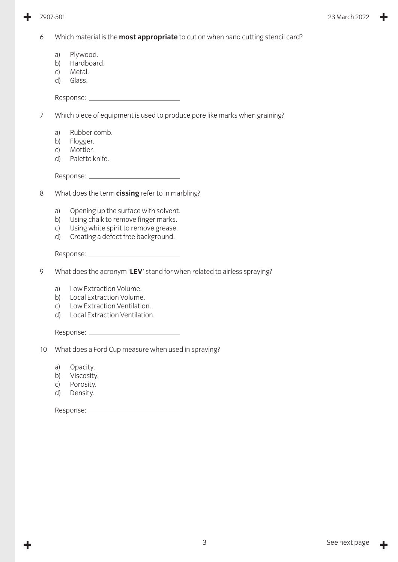|  | 7907-501 |
|--|----------|
|--|----------|

- 6 Which material is the **most appropriate** to cut on when hand cutting stencil card?
	- a) Plywood.
	- b) Hardboard.
	- c) Metal.
	- d) Glass.

Response:

7 Which piece of equipment is used to produce pore like marks when graining?

- a) Rubber comb.
- b) Flogger.
- c) Mottler.
- d) Palette knife.

Response:

- 8 What does the term **cissing** refer to in marbling?
	- a) Opening up the surface with solvent.
	- b) Using chalk to remove finger marks.
	- c) Using white spirit to remove grease.
	- d) Creating a defect free background.

Response:

- 9 What does the acronym '**LEV**' stand for when related to airless spraying?
	- a) Low Extraction Volume.
	- b) Local Extraction Volume.
	- c) Low Extraction Ventilation.
	- d) Local Extraction Ventilation.

Response:

10 What does a Ford Cup measure when used in spraying?

- a) Opacity.
- b) Viscosity.
- c) Porosity.
- d) Density.

Response: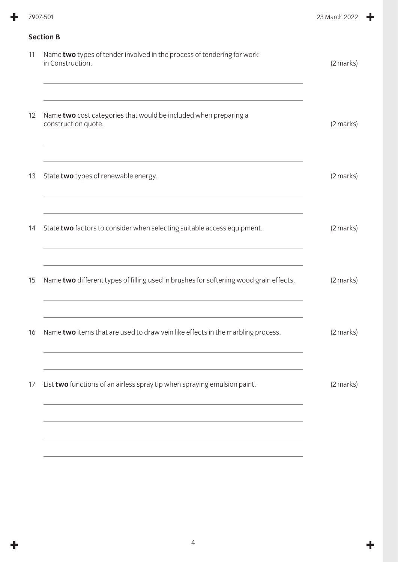

**Section B**

| 11 | Name two types of tender involved in the process of tendering for work<br>in Construction. | $(2 \text{ marks})$ |
|----|--------------------------------------------------------------------------------------------|---------------------|
| 12 | Name two cost categories that would be included when preparing a<br>construction quote.    | (2 marks)           |
| 13 | State two types of renewable energy.                                                       | (2 marks)           |
| 14 | State two factors to consider when selecting suitable access equipment.                    | (2 marks)           |
| 15 | Name two different types of filling used in brushes for softening wood grain effects.      | (2 marks)           |
| 16 | Name two items that are used to draw vein like effects in the marbling process.            | (2 marks)           |
| 17 | List two functions of an airless spray tip when spraying emulsion paint.                   | (2 marks)           |
|    |                                                                                            |                     |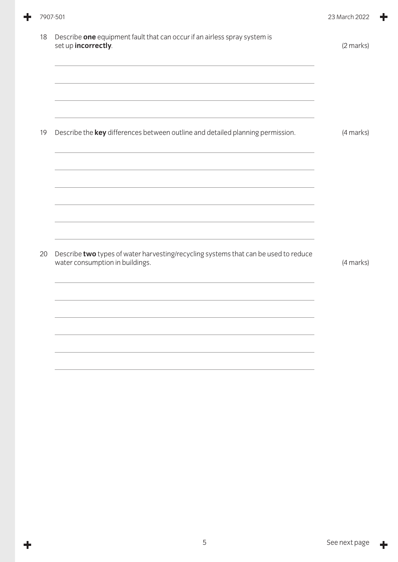|    | 7907-501                                                                                                               | 23 March 2022 |
|----|------------------------------------------------------------------------------------------------------------------------|---------------|
| 18 | Describe one equipment fault that can occur if an airless spray system is<br>set up incorrectly.                       | (2 marks)     |
| 19 | Describe the key differences between outline and detailed planning permission.                                         | (4 marks)     |
|    |                                                                                                                        |               |
| 20 | Describe two types of water harvesting/recycling systems that can be used to reduce<br>water consumption in buildings. | (4 marks)     |
|    |                                                                                                                        |               |

╋

 $\ddagger$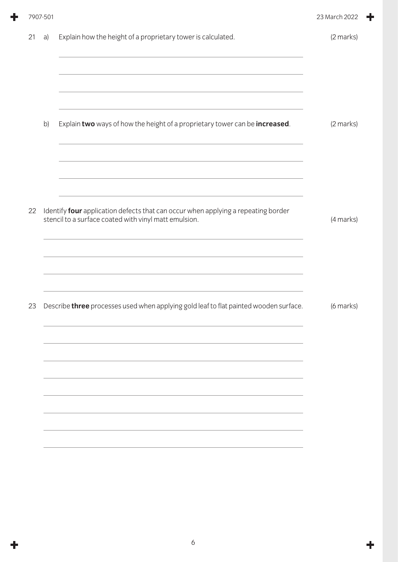|    | 7907-501 |                                                                                                                                            | 23 March 2022 |
|----|----------|--------------------------------------------------------------------------------------------------------------------------------------------|---------------|
| 21 | a)       | Explain how the height of a proprietary tower is calculated.                                                                               | (2 marks)     |
|    | b)       | Explain two ways of how the height of a proprietary tower can be increased.                                                                | (2 marks)     |
| 22 |          | Identify four application defects that can occur when applying a repeating border<br>stencil to a surface coated with vinyl matt emulsion. | (4 marks)     |
| 23 |          | Describe three processes used when applying gold leaf to flat painted wooden surface.                                                      | (6 marks)     |
|    |          |                                                                                                                                            |               |
|    |          |                                                                                                                                            |               |

 $\ddot{\phantom{1}}$ 

 $\ddagger$ 

6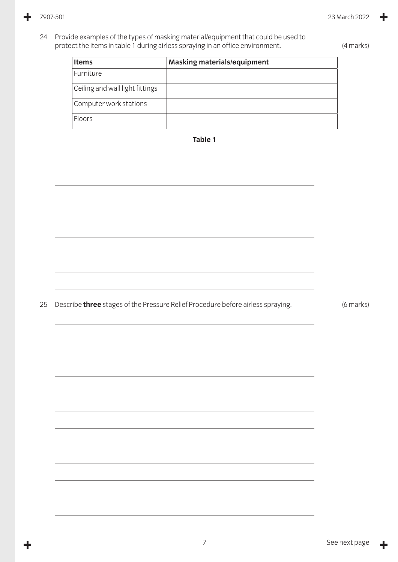24 Provide examples of the types of masking material/equipment that could be used to protect the items in table 1 during airless spraying in an office environment. (4 marks)

| <b>Items</b>                    | <b>Masking materials/equipment</b> |
|---------------------------------|------------------------------------|
| <b>Furniture</b>                |                                    |
| Ceiling and wall light fittings |                                    |
| Computer work stations          |                                    |
| Floors                          |                                    |

**Table 1**

25 Describe **three** stages of the Pressure Relief Procedure before airless spraying. (6 marks)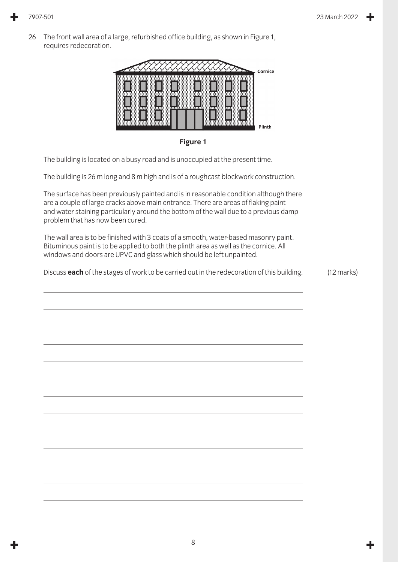- - 26 The front wall area of a large, refurbished office building, as shown in Figure 1, requires redecoration.



#### **Figure 1**

The building is located on a busy road and is unoccupied at the present time.

The building is 26 m long and 8 m high and is of a roughcast blockwork construction.

The surface has been previously painted and is in reasonable condition although there are a couple of large cracks above main entrance. There are areas of flaking paint and water staining particularly around the bottom of the wall due to a previous damp problem that has now been cured.

The wall area is to be finished with 3 coats of a smooth, water-based masonry paint. Bituminous paint is to be applied to both the plinth area as well as the cornice. All windows and doors are UPVC and glass which should be left unpainted.

Discuss **each** of the stages of work to be carried out in the redecoration of this building. (12 marks)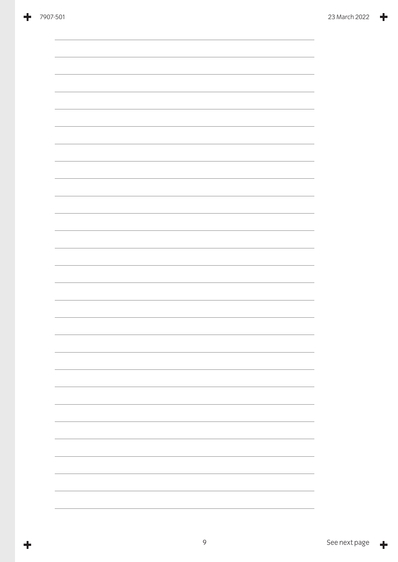| 7907-501 | 23 March 2022 |
|----------|---------------|
|          |               |

╋

|  | 7907-501 |
|--|----------|
|--|----------|

 $\ddagger$